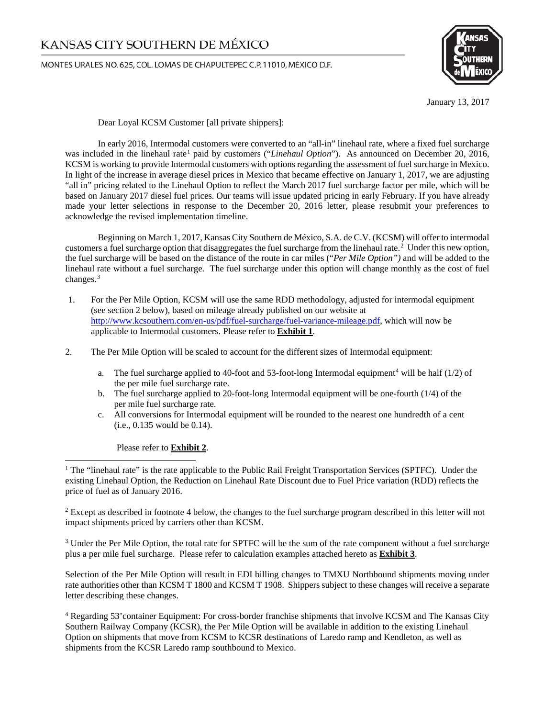MONTES URALES NO.625, COL. LOMAS DE CHAPULTEPEC C.P. 11010, MÉXICO D.F.



January 13, 2017

Dear Loyal KCSM Customer [all private shippers]:

In early 2016, Intermodal customers were converted to an "all-in" linehaul rate, where a fixed fuel surcharge was included in the linehaul rate<sup>[1](#page-0-0)</sup> paid by customers ("*Linehaul Option*"). As announced on December 20, 2016, KCSM is working to provide Intermodal customers with options regarding the assessment of fuel surcharge in Mexico. In light of the increase in average diesel prices in Mexico that became effective on January 1, 2017, we are adjusting "all in" pricing related to the Linehaul Option to reflect the March 2017 fuel surcharge factor per mile, which will be based on January 2017 diesel fuel prices. Our teams will issue updated pricing in early February. If you have already made your letter selections in response to the December 20, 2016 letter, please resubmit your preferences to acknowledge the revised implementation timeline.

Beginning on March 1, 2017, Kansas City Southern de México, S.A. de C.V. (KCSM) will offer to intermodal customers a fuel surcharge option that disaggregates the fuel surcharge from the linehaul rate.<sup>[2](#page-0-1)</sup> Under this new option, the fuel surcharge will be based on the distance of the route in car miles ("*Per Mile Option")* and will be added to the linehaul rate without a fuel surcharge. The fuel surcharge under this option will change monthly as the cost of fuel changes. [3](#page-0-2)

- 1. For the Per Mile Option, KCSM will use the same RDD methodology, adjusted for intermodal equipment (see section 2 below), based on mileage already published on our website at [http://www.kcsouthern.com/en-us/pdf/fuel-surcharge/fuel-variance-mileage.pdf,](http://www.kcsouthern.com/en-us/pdf/fuel-surcharge/fuel-variance-mileage.pdf) which will now be applicable to Intermodal customers. Please refer to **Exhibit 1**.
- 2. The Per Mile Option will be scaled to account for the different sizes of Intermodal equipment:
	- a. The fuel surcharge applied to [4](#page-0-3)0-foot and 53-foot-long Intermodal equipment<sup>4</sup> will be half (1/2) of the per mile fuel surcharge rate.
	- b. The fuel surcharge applied to 20-foot-long Intermodal equipment will be one-fourth (1/4) of the per mile fuel surcharge rate.
	- c. All conversions for Intermodal equipment will be rounded to the nearest one hundredth of a cent (i.e., 0.135 would be 0.14).

Please refer to **Exhibit 2**.

<span id="page-0-1"></span><sup>2</sup> Except as described in footnote 4 below, the changes to the fuel surcharge program described in this letter will not impact shipments priced by carriers other than KCSM.

<span id="page-0-2"></span><sup>3</sup> Under the Per Mile Option, the total rate for SPTFC will be the sum of the rate component without a fuel surcharge plus a per mile fuel surcharge. Please refer to calculation examples attached hereto as **Exhibit 3**.

Selection of the Per Mile Option will result in EDI billing changes to TMXU Northbound shipments moving under rate authorities other than KCSM T 1800 and KCSM T 1908. Shippers subject to these changes will receive a separate letter describing these changes.

<span id="page-0-3"></span><sup>4</sup> Regarding 53'container Equipment: For cross-border franchise shipments that involve KCSM and The Kansas City Southern Railway Company (KCSR), the Per Mile Option will be available in addition to the existing Linehaul Option on shipments that move from KCSM to KCSR destinations of Laredo ramp and Kendleton, as well as shipments from the KCSR Laredo ramp southbound to Mexico.

<span id="page-0-0"></span><sup>&</sup>lt;sup>1</sup> The "linehaul rate" is the rate applicable to the Public Rail Freight Transportation Services (SPTFC). Under the existing Linehaul Option, the Reduction on Linehaul Rate Discount due to Fuel Price variation (RDD) reflects the price of fuel as of January 2016.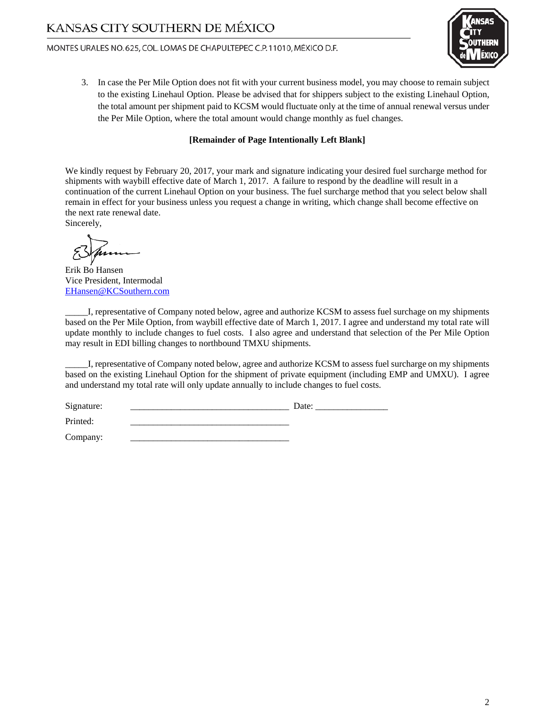#### MONTES URALES NO.625, COL. LOMAS DE CHAPULTEPEC C.P. 11010, MÉXICO D.F.



3. In case the Per Mile Option does not fit with your current business model, you may choose to remain subject to the existing Linehaul Option. Please be advised that for shippers subject to the existing Linehaul Option, the total amount per shipment paid to KCSM would fluctuate only at the time of annual renewal versus under the Per Mile Option, where the total amount would change monthly as fuel changes.

#### **[Remainder of Page Intentionally Left Blank]**

We kindly request by February 20, 2017, your mark and signature indicating your desired fuel surcharge method for shipments with waybill effective date of March 1, 2017. A failure to respond by the deadline will result in a continuation of the current Linehaul Option on your business. The fuel surcharge method that you select below shall remain in effect for your business unless you request a change in writing, which change shall become effective on the next rate renewal date. Sincerely,

Erik Bo Hansen Vice President, Intermodal [EHansen@KCSouthern.com](mailto:EHansen@KCSouthern.com)

\_\_\_\_\_I, representative of Company noted below, agree and authorize KCSM to assess fuel surchage on my shipments based on the Per Mile Option, from waybill effective date of March 1, 2017. I agree and understand my total rate will update monthly to include changes to fuel costs. I also agree and understand that selection of the Per Mile Option may result in EDI billing changes to northbound TMXU shipments.

\_\_\_\_\_I, representative of Company noted below, agree and authorize KCSM to assess fuel surcharge on my shipments based on the existing Linehaul Option for the shipment of private equipment (including EMP and UMXU). I agree and understand my total rate will only update annually to include changes to fuel costs.

Signature: \_\_\_\_\_\_\_\_\_\_\_\_\_\_\_\_\_\_\_\_\_\_\_\_\_\_\_\_\_\_\_\_\_\_\_ Date: \_\_\_\_\_\_\_\_\_\_\_\_\_\_\_\_ Printed: \_\_\_\_\_\_\_\_\_\_\_\_\_\_\_\_\_\_\_\_\_\_\_\_\_\_\_\_\_\_\_\_\_\_\_

Company: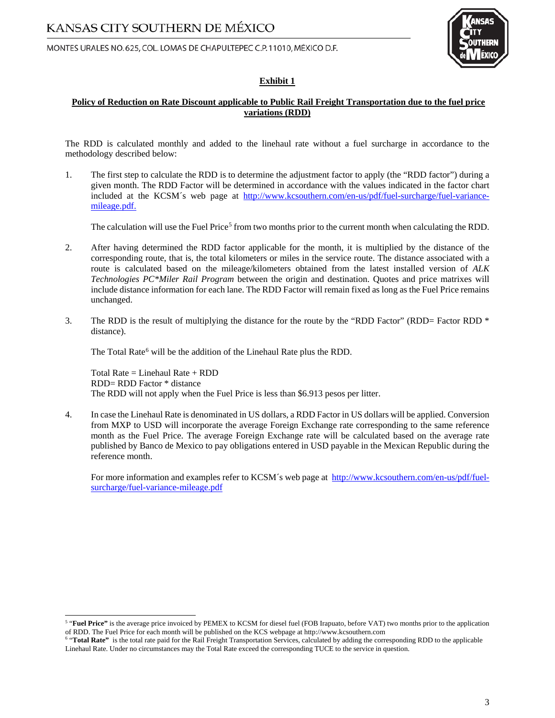MONTES URALES NO.625, COL. LOMAS DE CHAPULTEPEC C.P. 11010, MÉXICO D.F.



#### **Exhibit 1**

#### **Policy of Reduction on Rate Discount applicable to Public Rail Freight Transportation due to the fuel price variations (RDD)**

The RDD is calculated monthly and added to the linehaul rate without a fuel surcharge in accordance to the methodology described below:

1. The first step to calculate the RDD is to determine the adjustment factor to apply (the "RDD factor") during a given month. The RDD Factor will be determined in accordance with the values indicated in the factor chart included at the KCSM´s web page at [http://www.kcsouthern.com/en-us/pdf/fuel-surcharge/fuel-variance](http://www.kcsouthern.com/en-us/pdf/fuel-surcharge/fuel-variance-mileage.pdf)[mileage.pdf.](http://www.kcsouthern.com/en-us/pdf/fuel-surcharge/fuel-variance-mileage.pdf)

The calculation will use the Fuel Price<sup>[5](#page-2-0)</sup> from two months prior to the current month when calculating the RDD.

- 2. After having determined the RDD factor applicable for the month, it is multiplied by the distance of the corresponding route, that is, the total kilometers or miles in the service route. The distance associated with a route is calculated based on the mileage/kilometers obtained from the latest installed version of *ALK Technologies PC\*Miler Rail Program* between the origin and destination. Quotes and price matrixes will include distance information for each lane. The RDD Factor will remain fixed as long as the Fuel Price remains unchanged.
- 3. The RDD is the result of multiplying the distance for the route by the "RDD Factor" (RDD= Factor RDD \* distance).

The Total Rate<sup>[6](#page-2-1)</sup> will be the addition of the Linehaul Rate plus the RDD.

Total Rate = Linehaul Rate + RDD RDD= RDD Factor \* distance The RDD will not apply when the Fuel Price is less than \$6.913 pesos per litter.

4. In case the Linehaul Rate is denominated in US dollars, a RDD Factor in US dollars will be applied. Conversion from MXP to USD will incorporate the average Foreign Exchange rate corresponding to the same reference month as the Fuel Price. The average Foreign Exchange rate will be calculated based on the average rate published by Banco de Mexico to pay obligations entered in USD payable in the Mexican Republic during the reference month.

For more information and examples refer to KCSM's web page at [http://www.kcsouthern.com/en-us/pdf/fuel](http://www.kcsouthern.com/en-us/pdf/fuel-surcharge/fuel-variance-mileage.pdf)[surcharge/fuel-variance-mileage.pdf](http://www.kcsouthern.com/en-us/pdf/fuel-surcharge/fuel-variance-mileage.pdf)

<span id="page-2-0"></span><sup>&</sup>lt;sup>5</sup> "Fuel Price" is the average price invoiced by PEMEX to KCSM for diesel fuel (FOB Irapuato, before VAT) two months prior to the application of RDD. The Fuel Price for each month will be published on the KCS webpage at h

<span id="page-2-1"></span><sup>&</sup>lt;sup>6</sup> "Total Rate" is the total rate paid for the Rail Freight Transportation Services, calculated by adding the corresponding RDD to the applicable Linehaul Rate. Under no circumstances may the Total Rate exceed the corresponding TUCE to the service in question.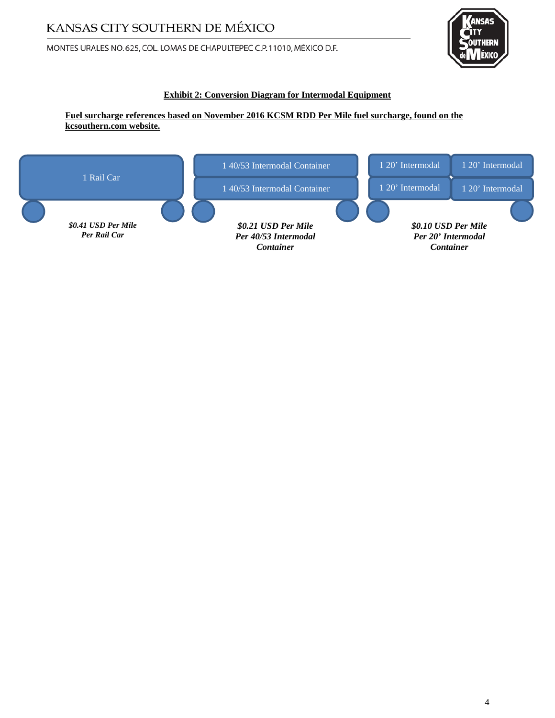MONTES URALES NO.625, COL. LOMAS DE CHAPULTEPEC C.P. 11010, MÉXICO D.F.



### **Exhibit 2: Conversion Diagram for Intermodal Equipment**

**Fuel surcharge references based on November 2016 KCSM RDD Per Mile fuel surcharge, found on the kcsouthern.com website.**